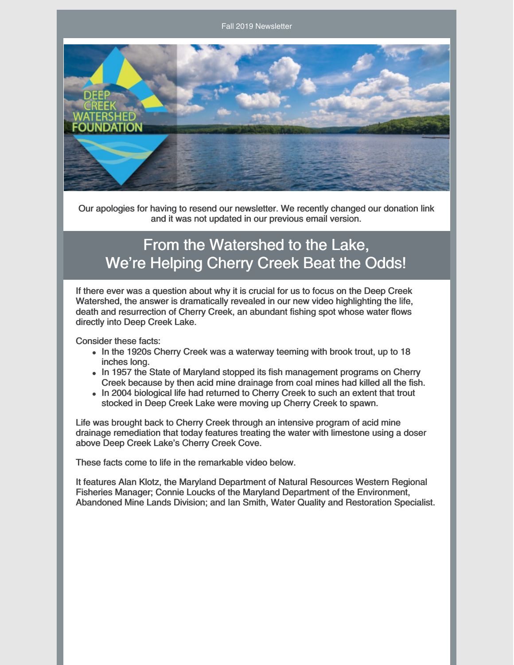Fall 2019 Newsletter



Our apologies for having to resend our newsletter. We recently changed our donation link and it was not updated in our previous email version.

## From the Watershed to the Lake, We're Helping Cherry Creek Beat the Odds!

If there ever was a question about why it is crucial for us to focus on the Deep Creek Watershed, the answer is dramatically revealed in our new video highlighting the life, death and resurrection of Cherry Creek, an abundant fishing spot whose water flows directly into Deep Creek Lake.

Consider these facts:

- In the 1920s Cherry Creek was a waterway teeming with brook trout, up to 18 inches long.
- In 1957 the State of Maryland stopped its fish management programs on Cherry Creek because by then acid mine drainage from coal mines had killed all the fish.
- In 2004 biological life had returned to Cherry Creek to such an extent that trout stocked in Deep Creek Lake were moving up Cherry Creek to spawn.

Life was brought back to Cherry Creek through an intensive program of acid mine drainage remediation that today features treating the water with limestone using a doser above Deep Creek Lake's Cherry Creek Cove.

These facts come to life in the remarkable video below.

It features Alan Klotz, the Maryland Department of Natural Resources Western Regional Fisheries Manager; Connie Loucks of the Maryland Department of the Environment, Abandoned Mine Lands Division; and Ian Smith, Water Quality and Restoration Specialist.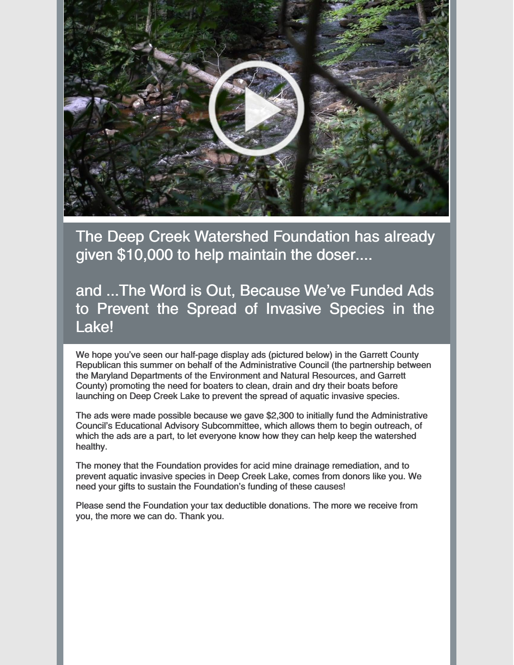

The Deep Creek Watershed Foundation has already given \$10,000 to help maintain the doser....

and ...The Word is Out, Because We've Funded Ads to Prevent the Spread of Invasive Species in the Lake!

We hope you've seen our half-page display ads (pictured below) in the Garrett County Republican this summer on behalf of the Administrative Council (the partnership between the Maryland Departments of the Environment and Natural Resources, and Garrett County) promoting the need for boaters to clean, drain and dry their boats before launching on Deep Creek Lake to prevent the spread of aquatic invasive species.

The ads were made possible because we gave \$2,300 to initially fund the Administrative Council's Educational Advisory Subcommittee, which allows them to begin outreach, of which the ads are a part, to let everyone know how they can help keep the watershed healthy.

The money that the Foundation provides for acid mine drainage remediation, and to prevent aquatic invasive species in Deep Creek Lake, comes from donors like you. We need your gifts to sustain the Foundation's funding of these causes!

Please send the Foundation your tax deductible donations. The more we receive from you, the more we can do. Thank you.